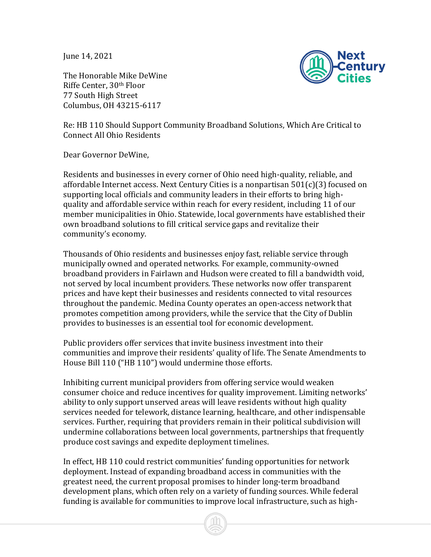June 14, 2021

The Honorable Mike DeWine Riffe Center, 30th Floor 77 South High Street Columbus, OH 43215-6117



Re: HB 110 Should Support Community Broadband Solutions, Which Are Critical to Connect All Ohio Residents

Dear Governor DeWine,

Residents and businesses in every corner of Ohio need high-quality, reliable, and affordable Internet access. Next Century Cities is a nonpartisan 501(c)(3) focused on supporting local officials and community leaders in their efforts to bring highquality and affordable service within reach for every resident, including 11 of our member municipalities in Ohio. Statewide, local governments have established their own broadband solutions to fill critical service gaps and revitalize their community's economy.

Thousands of Ohio residents and businesses enjoy fast, reliable service through municipally owned and operated networks. For example, community-owned broadband providers in Fairlawn and Hudson were created to fill a bandwidth void, not served by local incumbent providers. These networks now offer transparent prices and have kept their businesses and residents connected to vital resources throughout the pandemic. Medina County operates an open-access network that promotes competition among providers, while the service that the City of Dublin provides to businesses is an essential tool for economic development.

Public providers offer services that invite business investment into their communities and improve their residents' quality of life. The Senate Amendments to House Bill 110 ("HB 110") would undermine those efforts.

Inhibiting current municipal providers from offering service would weaken consumer choice and reduce incentives for quality improvement. Limiting networks' ability to only support unserved areas will leave residents without high quality services needed for telework, distance learning, healthcare, and other indispensable services. Further, requiring that providers remain in their political subdivision will undermine collaborations between local governments, partnerships that frequently produce cost savings and expedite deployment timelines.

In effect, HB 110 could restrict communities' funding opportunities for network deployment. Instead of expanding broadband access in communities with the greatest need, the current proposal promises to hinder long-term broadband development plans, which often rely on a variety of funding sources. While federal funding is available for communities to improve local infrastructure, such as high-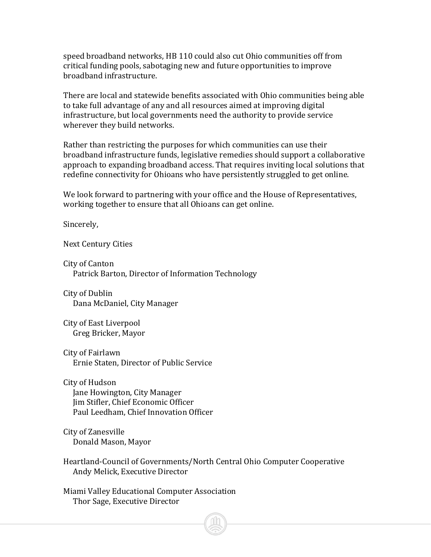speed broadband networks, HB 110 could also cut Ohio communities off from critical funding pools, sabotaging new and future opportunities to improve broadband infrastructure.

There are local and statewide benefits associated with Ohio communities being able to take full advantage of any and all resources aimed at improving digital infrastructure, but local governments need the authority to provide service wherever they build networks.

Rather than restricting the purposes for which communities can use their broadband infrastructure funds, legislative remedies should support a collaborative approach to expanding broadband access. That requires inviting local solutions that redefine connectivity for Ohioans who have persistently struggled to get online.

We look forward to partnering with your office and the House of Representatives, working together to ensure that all Ohioans can get online.

Sincerely,

Next Century Cities

City of Canton Patrick Barton, Director of Information Technology

City of Dublin Dana McDaniel, City Manager

City of East Liverpool Greg Bricker, Mayor

City of Fairlawn Ernie Staten, Director of Public Service

City of Hudson Jane Howington, City Manager Jim Stifler, Chief Economic Officer Paul Leedham, Chief Innovation Officer

City of Zanesville Donald Mason, Mayor

Heartland-Council of Governments/North Central Ohio Computer Cooperative Andy Melick, Executive Director

Miami Valley Educational Computer Association Thor Sage, Executive Director